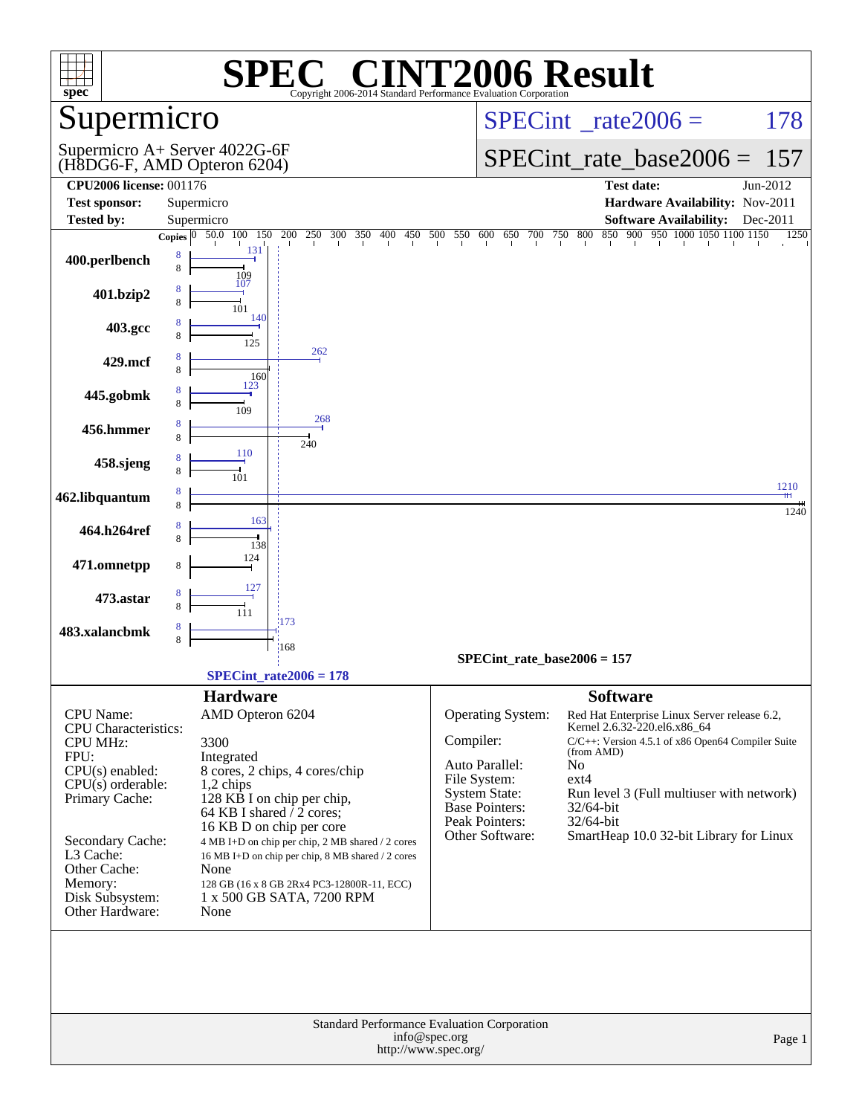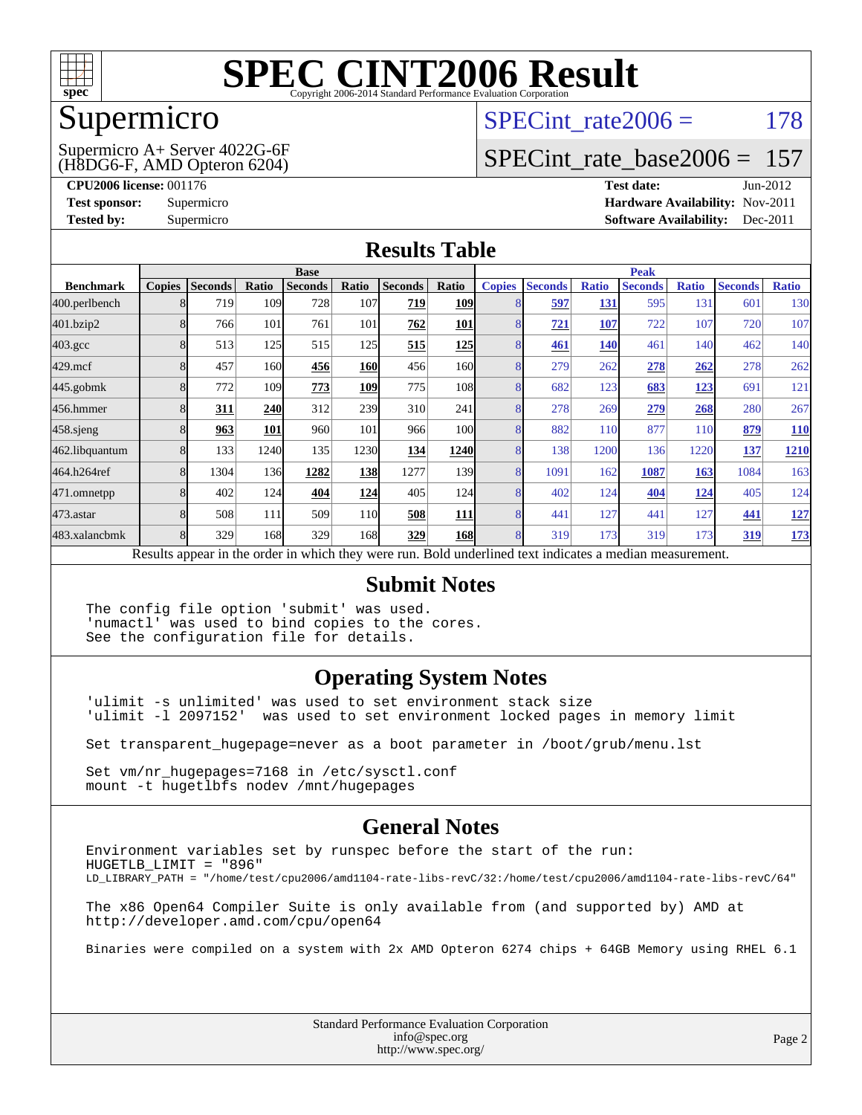

### Supermicro

#### (H8DG6-F, AMD Opteron 6204) Supermicro A+ Server 4022G-6F

SPECint rate $2006 = 178$ 

### [SPECint\\_rate\\_base2006 =](http://www.spec.org/auto/cpu2006/Docs/result-fields.html#SPECintratebase2006) 157

**[CPU2006 license:](http://www.spec.org/auto/cpu2006/Docs/result-fields.html#CPU2006license)** 001176 **[Test date:](http://www.spec.org/auto/cpu2006/Docs/result-fields.html#Testdate)** Jun-2012 **[Test sponsor:](http://www.spec.org/auto/cpu2006/Docs/result-fields.html#Testsponsor)** Supermicro **[Hardware Availability:](http://www.spec.org/auto/cpu2006/Docs/result-fields.html#HardwareAvailability)** Nov-2011 **[Tested by:](http://www.spec.org/auto/cpu2006/Docs/result-fields.html#Testedby)** Supermicro **Supermicro [Software Availability:](http://www.spec.org/auto/cpu2006/Docs/result-fields.html#SoftwareAvailability)** Dec-2011

#### **[Results Table](http://www.spec.org/auto/cpu2006/Docs/result-fields.html#ResultsTable)**

|                                                                                                          | <b>Base</b>   |                |       |                |                 | <b>Peak</b>    |            |                |                |              |                |              |                |              |
|----------------------------------------------------------------------------------------------------------|---------------|----------------|-------|----------------|-----------------|----------------|------------|----------------|----------------|--------------|----------------|--------------|----------------|--------------|
| <b>Benchmark</b>                                                                                         | <b>Copies</b> | <b>Seconds</b> | Ratio | <b>Seconds</b> | Ratio           | <b>Seconds</b> | Ratio      | <b>Copies</b>  | <b>Seconds</b> | <b>Ratio</b> | <b>Seconds</b> | <b>Ratio</b> | <b>Seconds</b> | <b>Ratio</b> |
| 400.perlbench                                                                                            | 8             | 719            | 109   | 728            | 107             | 719            | <b>109</b> |                | 597            | 131          | 595            | 131          | 601            | 130          |
| 401.bzip2                                                                                                | 8             | 766            | 101   | 761            | 101             | 762            | 101        |                | 721            | 107          | 722            | 107          | 720            | 107          |
| $403.\mathrm{gcc}$                                                                                       | 8             | 513            | 125   | 515            | 125             | 515            | <u>125</u> | 8              | <b>461</b>     | <b>140</b>   | 461            | 140          | 462            | 140          |
| $429$ .mcf                                                                                               | 8             | 457            | 160   | 456            | <b>160</b>      | 456            | 160l       | 8              | 279            | 262          | 278            | 262          | 278            | 262          |
| $445$ .gobmk                                                                                             | 8             | 772            | 109   | 773            | 109             | 775            | 108        | 8              | 682            | 123          | 683            | <u>123</u>   | 691            | 121          |
| 456.hmmer                                                                                                | 8             | 311            | 240   | 312            | 239             | 310            | 241        | 8              | 278            | 269          | 279            | 268          | 280            | 267          |
| $458$ .sjeng                                                                                             | 8             | 963            | 101   | 960            | 101             | 966            | 100        | 8              | 882            | 110          | 877            | 110          | 879            | <b>110</b>   |
| 462.libquantum                                                                                           | 8             | 133            | 1240  | 135            | 1230            | 134            | 1240       | 8              | 138            | 1200         | 136            | 1220         | 137            | <u>1210</u>  |
| 464.h264ref                                                                                              | 8             | 1304           | 136   | 1282           | 138             | 1277           | 139        | $\overline{8}$ | 1091           | 162          | 1087           | 163          | 1084           | 163          |
| 471.omnetpp                                                                                              | 8             | 402            | 124   | 404            | 124             | 405            | <b>124</b> | 8              | 402            | 124          | 404            | <u> 124</u>  | 405            | 124          |
| $473$ . astar                                                                                            | 8             | 508            | 111   | 509            | 11 <sub>0</sub> | 508            | <b>111</b> | 8              | 441            | 127          | 441            | 127          | 441            | <u>127</u>   |
| 483.xalancbmk                                                                                            | 8             | 329            | 168   | 329            | 168             | 329            | <b>168</b> | 8              | 319            | 173          | 319            | 173          | 319            | 173          |
| Results appear in the order in which they were run. Bold underlined text indicates a median measurement. |               |                |       |                |                 |                |            |                |                |              |                |              |                |              |

#### **[Submit Notes](http://www.spec.org/auto/cpu2006/Docs/result-fields.html#SubmitNotes)**

The config file option 'submit' was used. 'numactl' was used to bind copies to the cores. See the configuration file for details.

### **[Operating System Notes](http://www.spec.org/auto/cpu2006/Docs/result-fields.html#OperatingSystemNotes)**

'ulimit -s unlimited' was used to set environment stack size 'ulimit -l 2097152' was used to set environment locked pages in memory limit

Set transparent\_hugepage=never as a boot parameter in /boot/grub/menu.lst

Set vm/nr\_hugepages=7168 in /etc/sysctl.conf mount -t hugetlbfs nodev /mnt/hugepages

### **[General Notes](http://www.spec.org/auto/cpu2006/Docs/result-fields.html#GeneralNotes)**

Environment variables set by runspec before the start of the run: HUGETLB\_LIMIT = "896" LD\_LIBRARY\_PATH = "/home/test/cpu2006/amd1104-rate-libs-revC/32:/home/test/cpu2006/amd1104-rate-libs-revC/64" The x86 Open64 Compiler Suite is only available from (and supported by) AMD at <http://developer.amd.com/cpu/open64>

Binaries were compiled on a system with 2x AMD Opteron 6274 chips + 64GB Memory using RHEL 6.1

Standard Performance Evaluation Corporation [info@spec.org](mailto:info@spec.org) <http://www.spec.org/>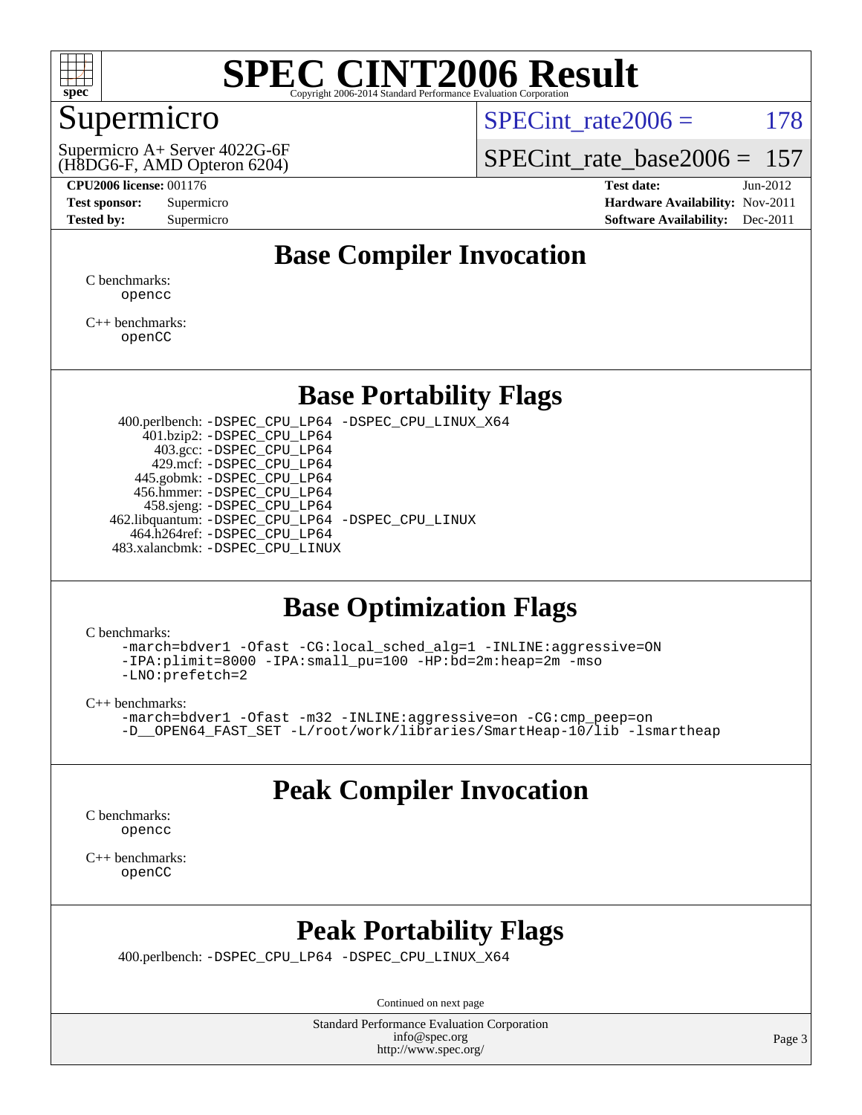

### Supermicro

(H8DG6-F, AMD Opteron 6204) Supermicro A+ Server 4022G-6F SPECint rate $2006 = 178$ 

SPECint rate base  $2006 = 157$ 

**[CPU2006 license:](http://www.spec.org/auto/cpu2006/Docs/result-fields.html#CPU2006license)** 001176 **[Test date:](http://www.spec.org/auto/cpu2006/Docs/result-fields.html#Testdate)** Jun-2012 **[Test sponsor:](http://www.spec.org/auto/cpu2006/Docs/result-fields.html#Testsponsor)** Supermicro **[Hardware Availability:](http://www.spec.org/auto/cpu2006/Docs/result-fields.html#HardwareAvailability)** Nov-2011 **[Tested by:](http://www.spec.org/auto/cpu2006/Docs/result-fields.html#Testedby)** Supermicro **Supermicro [Software Availability:](http://www.spec.org/auto/cpu2006/Docs/result-fields.html#SoftwareAvailability)** Dec-2011

### **[Base Compiler Invocation](http://www.spec.org/auto/cpu2006/Docs/result-fields.html#BaseCompilerInvocation)**

[C benchmarks](http://www.spec.org/auto/cpu2006/Docs/result-fields.html#Cbenchmarks): [opencc](http://www.spec.org/cpu2006/results/res2012q3/cpu2006-20120627-23193.flags.html#user_CCbase_Fopencc)

[C++ benchmarks:](http://www.spec.org/auto/cpu2006/Docs/result-fields.html#CXXbenchmarks) [openCC](http://www.spec.org/cpu2006/results/res2012q3/cpu2006-20120627-23193.flags.html#user_CXXbase_FopenCC)

### **[Base Portability Flags](http://www.spec.org/auto/cpu2006/Docs/result-fields.html#BasePortabilityFlags)**

 400.perlbench: [-DSPEC\\_CPU\\_LP64](http://www.spec.org/cpu2006/results/res2012q3/cpu2006-20120627-23193.flags.html#b400.perlbench_basePORTABILITY_DSPEC_CPU_LP64) [-DSPEC\\_CPU\\_LINUX\\_X64](http://www.spec.org/cpu2006/results/res2012q3/cpu2006-20120627-23193.flags.html#b400.perlbench_baseCPORTABILITY_DSPEC_CPU_LINUX_X64) 401.bzip2: [-DSPEC\\_CPU\\_LP64](http://www.spec.org/cpu2006/results/res2012q3/cpu2006-20120627-23193.flags.html#suite_basePORTABILITY401_bzip2_DSPEC_CPU_LP64) 403.gcc: [-DSPEC\\_CPU\\_LP64](http://www.spec.org/cpu2006/results/res2012q3/cpu2006-20120627-23193.flags.html#suite_basePORTABILITY403_gcc_DSPEC_CPU_LP64) 429.mcf: [-DSPEC\\_CPU\\_LP64](http://www.spec.org/cpu2006/results/res2012q3/cpu2006-20120627-23193.flags.html#suite_basePORTABILITY429_mcf_DSPEC_CPU_LP64) 445.gobmk: [-DSPEC\\_CPU\\_LP64](http://www.spec.org/cpu2006/results/res2012q3/cpu2006-20120627-23193.flags.html#suite_basePORTABILITY445_gobmk_DSPEC_CPU_LP64) 456.hmmer: [-DSPEC\\_CPU\\_LP64](http://www.spec.org/cpu2006/results/res2012q3/cpu2006-20120627-23193.flags.html#suite_basePORTABILITY456_hmmer_DSPEC_CPU_LP64) 458.sjeng: [-DSPEC\\_CPU\\_LP64](http://www.spec.org/cpu2006/results/res2012q3/cpu2006-20120627-23193.flags.html#suite_basePORTABILITY458_sjeng_DSPEC_CPU_LP64) 462.libquantum: [-DSPEC\\_CPU\\_LP64](http://www.spec.org/cpu2006/results/res2012q3/cpu2006-20120627-23193.flags.html#suite_basePORTABILITY462_libquantum_DSPEC_CPU_LP64) [-DSPEC\\_CPU\\_LINUX](http://www.spec.org/cpu2006/results/res2012q3/cpu2006-20120627-23193.flags.html#b462.libquantum_baseCPORTABILITY_DSPEC_CPU_LINUX) 464.h264ref: [-DSPEC\\_CPU\\_LP64](http://www.spec.org/cpu2006/results/res2012q3/cpu2006-20120627-23193.flags.html#suite_basePORTABILITY464_h264ref_DSPEC_CPU_LP64) 483.xalancbmk: [-DSPEC\\_CPU\\_LINUX](http://www.spec.org/cpu2006/results/res2012q3/cpu2006-20120627-23193.flags.html#b483.xalancbmk_baseCXXPORTABILITY_DSPEC_CPU_LINUX)

### **[Base Optimization Flags](http://www.spec.org/auto/cpu2006/Docs/result-fields.html#BaseOptimizationFlags)**

[C benchmarks](http://www.spec.org/auto/cpu2006/Docs/result-fields.html#Cbenchmarks):

[-march=bdver1](http://www.spec.org/cpu2006/results/res2012q3/cpu2006-20120627-23193.flags.html#user_CCbase_F-march_fdb9f2653a6b3eaa60be4cf93a9ba5f3) [-Ofast](http://www.spec.org/cpu2006/results/res2012q3/cpu2006-20120627-23193.flags.html#user_CCbase_F-Ofast) [-CG:local\\_sched\\_alg=1](http://www.spec.org/cpu2006/results/res2012q3/cpu2006-20120627-23193.flags.html#user_CCbase_F-CG:local_sched_alg_2175ca61f1a2717f1ec57b14995b9e7a) [-INLINE:aggressive=ON](http://www.spec.org/cpu2006/results/res2012q3/cpu2006-20120627-23193.flags.html#user_CCbase_F-INLINE:aggressive_1968a21fda3b9e485676870015f71302) [-IPA:plimit=8000](http://www.spec.org/cpu2006/results/res2012q3/cpu2006-20120627-23193.flags.html#user_CCbase_F-IPA:plimit_92cba83f3d47f09c7d5368fda93ddbd7) [-IPA:small\\_pu=100](http://www.spec.org/cpu2006/results/res2012q3/cpu2006-20120627-23193.flags.html#user_CCbase_F-IPA:small_pu_900a09767c6929d55c26ea3d32399996) [-HP:bd=2m:heap=2m](http://www.spec.org/cpu2006/results/res2012q3/cpu2006-20120627-23193.flags.html#user_CCbase_F-HUGEPAGE_539c723a9f9bd1bd95cd839aeb740bae) [-mso](http://www.spec.org/cpu2006/results/res2012q3/cpu2006-20120627-23193.flags.html#user_CCbase_F-mso) [-LNO:prefetch=2](http://www.spec.org/cpu2006/results/res2012q3/cpu2006-20120627-23193.flags.html#user_CCbase_F-LNO:prefetch_9aee81855ba0592a3c8a40ba7b041143)

[C++ benchmarks:](http://www.spec.org/auto/cpu2006/Docs/result-fields.html#CXXbenchmarks)

```
-march=bdver1 -Ofast -m32 -INLINE:aggressive=on -CG:cmp_peep=on
-L/root/work/libraries/SmartHeap-10/lib -lsmartheap
```
### **[Peak Compiler Invocation](http://www.spec.org/auto/cpu2006/Docs/result-fields.html#PeakCompilerInvocation)**

[C benchmarks](http://www.spec.org/auto/cpu2006/Docs/result-fields.html#Cbenchmarks): [opencc](http://www.spec.org/cpu2006/results/res2012q3/cpu2006-20120627-23193.flags.html#user_CCpeak_Fopencc)

[C++ benchmarks:](http://www.spec.org/auto/cpu2006/Docs/result-fields.html#CXXbenchmarks) [openCC](http://www.spec.org/cpu2006/results/res2012q3/cpu2006-20120627-23193.flags.html#user_CXXpeak_FopenCC)

### **[Peak Portability Flags](http://www.spec.org/auto/cpu2006/Docs/result-fields.html#PeakPortabilityFlags)**

400.perlbench: [-DSPEC\\_CPU\\_LP64](http://www.spec.org/cpu2006/results/res2012q3/cpu2006-20120627-23193.flags.html#b400.perlbench_peakPORTABILITY_DSPEC_CPU_LP64) [-DSPEC\\_CPU\\_LINUX\\_X64](http://www.spec.org/cpu2006/results/res2012q3/cpu2006-20120627-23193.flags.html#b400.perlbench_peakCPORTABILITY_DSPEC_CPU_LINUX_X64)

Continued on next page

Standard Performance Evaluation Corporation [info@spec.org](mailto:info@spec.org) <http://www.spec.org/>

Page 3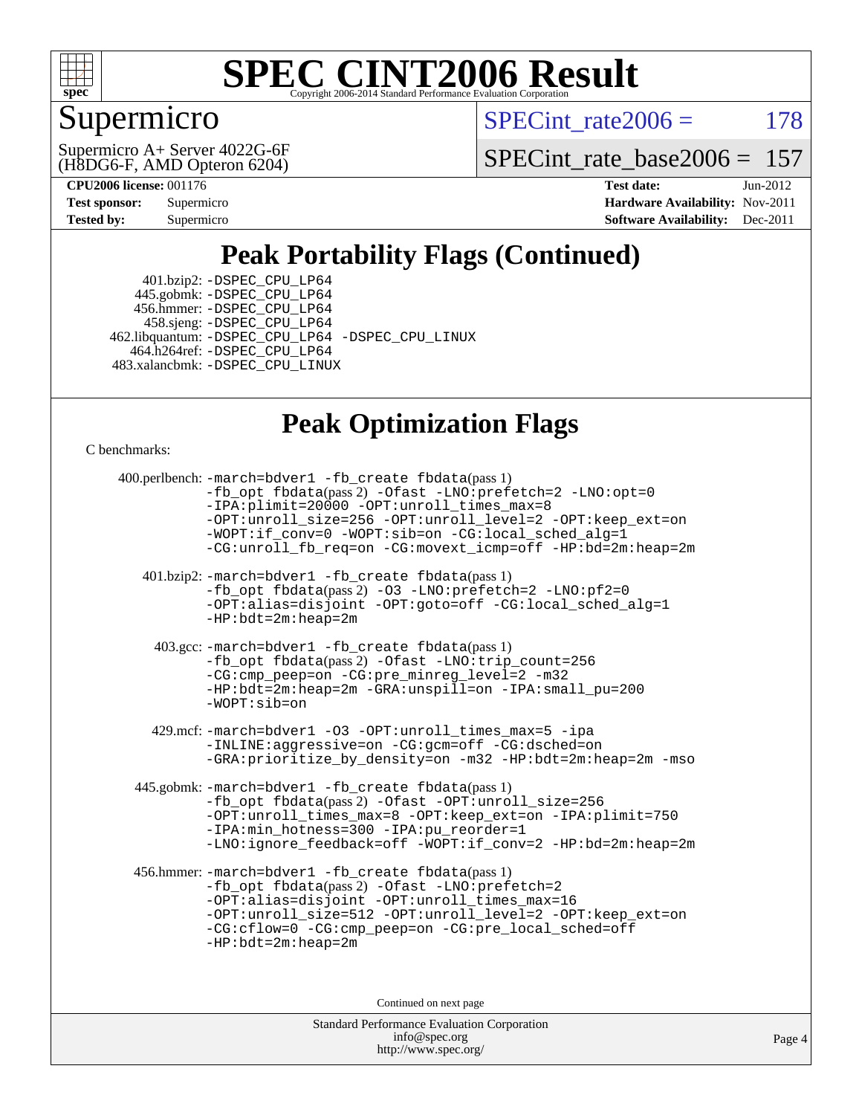

### Supermicro

SPECint rate $2006 = 178$ 

(H8DG6-F, AMD Opteron 6204) Supermicro A+ Server 4022G-6F [SPECint\\_rate\\_base2006 =](http://www.spec.org/auto/cpu2006/Docs/result-fields.html#SPECintratebase2006) 157

**[CPU2006 license:](http://www.spec.org/auto/cpu2006/Docs/result-fields.html#CPU2006license)** 001176 **[Test date:](http://www.spec.org/auto/cpu2006/Docs/result-fields.html#Testdate)** Jun-2012

| <b>Test sponsor:</b> | Supermicro |
|----------------------|------------|
| <b>Tested by:</b>    | Supermicro |

**[Hardware Availability:](http://www.spec.org/auto/cpu2006/Docs/result-fields.html#HardwareAvailability)** Nov-2011 **[Software Availability:](http://www.spec.org/auto/cpu2006/Docs/result-fields.html#SoftwareAvailability)** Dec-2011

## **[Peak Portability Flags \(Continued\)](http://www.spec.org/auto/cpu2006/Docs/result-fields.html#PeakPortabilityFlags)**

 401.bzip2: [-DSPEC\\_CPU\\_LP64](http://www.spec.org/cpu2006/results/res2012q3/cpu2006-20120627-23193.flags.html#suite_peakPORTABILITY401_bzip2_DSPEC_CPU_LP64) 445.gobmk: [-DSPEC\\_CPU\\_LP64](http://www.spec.org/cpu2006/results/res2012q3/cpu2006-20120627-23193.flags.html#suite_peakPORTABILITY445_gobmk_DSPEC_CPU_LP64) 456.hmmer: [-DSPEC\\_CPU\\_LP64](http://www.spec.org/cpu2006/results/res2012q3/cpu2006-20120627-23193.flags.html#suite_peakPORTABILITY456_hmmer_DSPEC_CPU_LP64) 458.sjeng: [-DSPEC\\_CPU\\_LP64](http://www.spec.org/cpu2006/results/res2012q3/cpu2006-20120627-23193.flags.html#suite_peakPORTABILITY458_sjeng_DSPEC_CPU_LP64) 462.libquantum: [-DSPEC\\_CPU\\_LP64](http://www.spec.org/cpu2006/results/res2012q3/cpu2006-20120627-23193.flags.html#suite_peakPORTABILITY462_libquantum_DSPEC_CPU_LP64) [-DSPEC\\_CPU\\_LINUX](http://www.spec.org/cpu2006/results/res2012q3/cpu2006-20120627-23193.flags.html#b462.libquantum_peakCPORTABILITY_DSPEC_CPU_LINUX) 464.h264ref: [-DSPEC\\_CPU\\_LP64](http://www.spec.org/cpu2006/results/res2012q3/cpu2006-20120627-23193.flags.html#suite_peakPORTABILITY464_h264ref_DSPEC_CPU_LP64) 483.xalancbmk: [-DSPEC\\_CPU\\_LINUX](http://www.spec.org/cpu2006/results/res2012q3/cpu2006-20120627-23193.flags.html#b483.xalancbmk_peakCXXPORTABILITY_DSPEC_CPU_LINUX)

### **[Peak Optimization Flags](http://www.spec.org/auto/cpu2006/Docs/result-fields.html#PeakOptimizationFlags)**

[C benchmarks](http://www.spec.org/auto/cpu2006/Docs/result-fields.html#Cbenchmarks):

Standard Performance Evaluation Corporation 400.perlbench: [-march=bdver1](http://www.spec.org/cpu2006/results/res2012q3/cpu2006-20120627-23193.flags.html#user_peakCCLD400_perlbench_F-march_fdb9f2653a6b3eaa60be4cf93a9ba5f3) [-fb\\_create fbdata](http://www.spec.org/cpu2006/results/res2012q3/cpu2006-20120627-23193.flags.html#user_peakPASS1_CFLAGSPASS1_LDFLAGS400_perlbench_F-fb_create_filename)(pass 1) [-fb\\_opt fbdata](http://www.spec.org/cpu2006/results/res2012q3/cpu2006-20120627-23193.flags.html#user_peakPASS2_CFLAGSPASS2_LDFLAGS400_perlbench_F-fb_opt_filename)(pass 2) [-Ofast](http://www.spec.org/cpu2006/results/res2012q3/cpu2006-20120627-23193.flags.html#user_peakCOPTIMIZE400_perlbench_F-Ofast) [-LNO:prefetch=2](http://www.spec.org/cpu2006/results/res2012q3/cpu2006-20120627-23193.flags.html#user_peakCOPTIMIZE400_perlbench_F-LNO:prefetch_9aee81855ba0592a3c8a40ba7b041143) [-LNO:opt=0](http://www.spec.org/cpu2006/results/res2012q3/cpu2006-20120627-23193.flags.html#user_peakCOPTIMIZE400_perlbench_F-LNO:opt_b91e8b13d06f45039299c6496cc69a5f) [-IPA:plimit=20000](http://www.spec.org/cpu2006/results/res2012q3/cpu2006-20120627-23193.flags.html#user_peakCOPTIMIZE400_perlbench_F-IPA:plimit_89e6fd9421ace0d5dab294a0a1b8be33) [-OPT:unroll\\_times\\_max=8](http://www.spec.org/cpu2006/results/res2012q3/cpu2006-20120627-23193.flags.html#user_peakCOPTIMIZE400_perlbench_F-OPT:unroll_times_max_1ad8852298ca2c36a68b2d007aae0e22) [-OPT:unroll\\_size=256](http://www.spec.org/cpu2006/results/res2012q3/cpu2006-20120627-23193.flags.html#user_peakCOPTIMIZE400_perlbench_F-OPT:unroll_size_dfa492f42f50f580c3837c8b22d14f27) [-OPT:unroll\\_level=2](http://www.spec.org/cpu2006/results/res2012q3/cpu2006-20120627-23193.flags.html#user_peakCOPTIMIZE400_perlbench_F-OPT:unroll_level_2cd767e66711a193dd7aad8ffe1e4d20) [-OPT:keep\\_ext=on](http://www.spec.org/cpu2006/results/res2012q3/cpu2006-20120627-23193.flags.html#user_peakCOPTIMIZE400_perlbench_F-OPT:keep_ext_4dbb9969188886aadf10437ce9577910) [-WOPT:if\\_conv=0](http://www.spec.org/cpu2006/results/res2012q3/cpu2006-20120627-23193.flags.html#user_peakCOPTIMIZE400_perlbench_F-WOPT:if_conv_3763321a358ff896b32d6152fd83e145) [-WOPT:sib=on](http://www.spec.org/cpu2006/results/res2012q3/cpu2006-20120627-23193.flags.html#user_peakCOPTIMIZE400_perlbench_F-WOPT:sib_922e769c7f0e2d4dff1b4919612a4b7b) [-CG:local\\_sched\\_alg=1](http://www.spec.org/cpu2006/results/res2012q3/cpu2006-20120627-23193.flags.html#user_peakCOPTIMIZE400_perlbench_F-CG:local_sched_alg_2175ca61f1a2717f1ec57b14995b9e7a) [-CG:unroll\\_fb\\_req=on](http://www.spec.org/cpu2006/results/res2012q3/cpu2006-20120627-23193.flags.html#user_peakCOPTIMIZE400_perlbench_F-CG:unroll_fb_req_6669f978801820a53c68eded7a4f0485) [-CG:movext\\_icmp=off](http://www.spec.org/cpu2006/results/res2012q3/cpu2006-20120627-23193.flags.html#user_peakCOPTIMIZE400_perlbench_F-CG:movext_icmp_460c980612b8c1bf4cfe85e9a0188f7b) [-HP:bd=2m:heap=2m](http://www.spec.org/cpu2006/results/res2012q3/cpu2006-20120627-23193.flags.html#user_peakCOPTIMIZE400_perlbench_F-HUGEPAGE_539c723a9f9bd1bd95cd839aeb740bae) 401.bzip2: [-march=bdver1](http://www.spec.org/cpu2006/results/res2012q3/cpu2006-20120627-23193.flags.html#user_peakCCLD401_bzip2_F-march_fdb9f2653a6b3eaa60be4cf93a9ba5f3) [-fb\\_create fbdata](http://www.spec.org/cpu2006/results/res2012q3/cpu2006-20120627-23193.flags.html#user_peakPASS1_CFLAGSPASS1_LDFLAGS401_bzip2_F-fb_create_filename)(pass 1) [-fb\\_opt fbdata](http://www.spec.org/cpu2006/results/res2012q3/cpu2006-20120627-23193.flags.html#user_peakPASS2_CFLAGSPASS2_LDFLAGS401_bzip2_F-fb_opt_filename)(pass 2) [-O3](http://www.spec.org/cpu2006/results/res2012q3/cpu2006-20120627-23193.flags.html#user_peakCOPTIMIZE401_bzip2_F-O3) [-LNO:prefetch=2](http://www.spec.org/cpu2006/results/res2012q3/cpu2006-20120627-23193.flags.html#user_peakCOPTIMIZE401_bzip2_F-LNO:prefetch_9aee81855ba0592a3c8a40ba7b041143) [-LNO:pf2=0](http://www.spec.org/cpu2006/results/res2012q3/cpu2006-20120627-23193.flags.html#user_peakCOPTIMIZE401_bzip2_F-LNO:pf2_07981756300a2e0b4788bc5b1051435b) [-OPT:alias=disjoint](http://www.spec.org/cpu2006/results/res2012q3/cpu2006-20120627-23193.flags.html#user_peakCOPTIMIZE401_bzip2_F-OPT:alias_af85d624bc8c113f27b06a81a9df063d) [-OPT:goto=off](http://www.spec.org/cpu2006/results/res2012q3/cpu2006-20120627-23193.flags.html#user_peakCOPTIMIZE401_bzip2_F-OPT:goto_b8760493db7ddb90acc865b6d90bb5de) [-CG:local\\_sched\\_alg=1](http://www.spec.org/cpu2006/results/res2012q3/cpu2006-20120627-23193.flags.html#user_peakCOPTIMIZE401_bzip2_F-CG:local_sched_alg_2175ca61f1a2717f1ec57b14995b9e7a) [-HP:bdt=2m:heap=2m](http://www.spec.org/cpu2006/results/res2012q3/cpu2006-20120627-23193.flags.html#user_peakCOPTIMIZE401_bzip2_F-HUGEPAGE_855e97383b49831f390a2af16fe7202f) 403.gcc: [-march=bdver1](http://www.spec.org/cpu2006/results/res2012q3/cpu2006-20120627-23193.flags.html#user_peakCCLD403_gcc_F-march_fdb9f2653a6b3eaa60be4cf93a9ba5f3) [-fb\\_create fbdata](http://www.spec.org/cpu2006/results/res2012q3/cpu2006-20120627-23193.flags.html#user_peakPASS1_CFLAGSPASS1_LDFLAGS403_gcc_F-fb_create_filename)(pass 1) [-fb\\_opt fbdata](http://www.spec.org/cpu2006/results/res2012q3/cpu2006-20120627-23193.flags.html#user_peakPASS2_CFLAGSPASS2_LDFLAGS403_gcc_F-fb_opt_filename)(pass 2) [-Ofast](http://www.spec.org/cpu2006/results/res2012q3/cpu2006-20120627-23193.flags.html#user_peakCOPTIMIZE403_gcc_F-Ofast) [-LNO:trip\\_count=256](http://www.spec.org/cpu2006/results/res2012q3/cpu2006-20120627-23193.flags.html#user_peakCOPTIMIZE403_gcc_F-LNO:trip_count_fda57506a3ecf9651535a9a8fb03b434) [-CG:cmp\\_peep=on](http://www.spec.org/cpu2006/results/res2012q3/cpu2006-20120627-23193.flags.html#user_peakCOPTIMIZE403_gcc_F-CG:cmp_peep_ab90c979e95bee1f1f617a32622424ed) [-CG:pre\\_minreg\\_level=2](http://www.spec.org/cpu2006/results/res2012q3/cpu2006-20120627-23193.flags.html#user_peakCOPTIMIZE403_gcc_F-CG:pre_minreg_level_7a4f6ecddb7c61e5a5fb2e3c8bb4dd9d) [-m32](http://www.spec.org/cpu2006/results/res2012q3/cpu2006-20120627-23193.flags.html#user_peakCOPTIMIZE403_gcc_F-m32) [-HP:bdt=2m:heap=2m](http://www.spec.org/cpu2006/results/res2012q3/cpu2006-20120627-23193.flags.html#user_peakCOPTIMIZE403_gcc_F-HUGEPAGE_855e97383b49831f390a2af16fe7202f) [-GRA:unspill=on](http://www.spec.org/cpu2006/results/res2012q3/cpu2006-20120627-23193.flags.html#user_peakCOPTIMIZE403_gcc_F-GRA:unspill_1a6c98043856890311246be72b057593) [-IPA:small\\_pu=200](http://www.spec.org/cpu2006/results/res2012q3/cpu2006-20120627-23193.flags.html#user_peakCOPTIMIZE403_gcc_F-IPA:small_pu_9e003d10925fc6bd9336e5337d9e3a22) [-WOPT:sib=on](http://www.spec.org/cpu2006/results/res2012q3/cpu2006-20120627-23193.flags.html#user_peakCOPTIMIZE403_gcc_F-WOPT:sib_922e769c7f0e2d4dff1b4919612a4b7b) 429.mcf: [-march=bdver1](http://www.spec.org/cpu2006/results/res2012q3/cpu2006-20120627-23193.flags.html#user_peakCCLD429_mcf_F-march_fdb9f2653a6b3eaa60be4cf93a9ba5f3) [-O3](http://www.spec.org/cpu2006/results/res2012q3/cpu2006-20120627-23193.flags.html#user_peakCOPTIMIZE429_mcf_F-O3) [-OPT:unroll\\_times\\_max=5](http://www.spec.org/cpu2006/results/res2012q3/cpu2006-20120627-23193.flags.html#user_peakCOPTIMIZE429_mcf_F-OPT:unroll_times_max_41568a7af56e14658911ef351ee37d74) [-ipa](http://www.spec.org/cpu2006/results/res2012q3/cpu2006-20120627-23193.flags.html#user_peakCOPTIMIZE429_mcf_F-ipa) [-INLINE:aggressive=on](http://www.spec.org/cpu2006/results/res2012q3/cpu2006-20120627-23193.flags.html#user_peakCOPTIMIZE429_mcf_F-INLINE:aggressive_e14807c0a1e56a6a83cb25ab07c7ae8a) [-CG:gcm=off](http://www.spec.org/cpu2006/results/res2012q3/cpu2006-20120627-23193.flags.html#user_peakCOPTIMIZE429_mcf_F-CG:gcm_3afc0477d086a9a9afc1ccea25488f06) [-CG:dsched=on](http://www.spec.org/cpu2006/results/res2012q3/cpu2006-20120627-23193.flags.html#user_peakCOPTIMIZE429_mcf_F-CG:dsched_25fd6bf9b1a971fa5ea06b24e400231d) [-GRA:prioritize\\_by\\_density=on](http://www.spec.org/cpu2006/results/res2012q3/cpu2006-20120627-23193.flags.html#user_peakCOPTIMIZE429_mcf_F-GRA:prioritize_by_density_342c4fb73fe18829f920373223f095a5) [-m32](http://www.spec.org/cpu2006/results/res2012q3/cpu2006-20120627-23193.flags.html#user_peakCOPTIMIZE429_mcf_F-m32) [-HP:bdt=2m:heap=2m](http://www.spec.org/cpu2006/results/res2012q3/cpu2006-20120627-23193.flags.html#user_peakCOPTIMIZE429_mcf_F-HUGEPAGE_855e97383b49831f390a2af16fe7202f) [-mso](http://www.spec.org/cpu2006/results/res2012q3/cpu2006-20120627-23193.flags.html#user_peakCOPTIMIZE429_mcf_F-mso) 445.gobmk: [-march=bdver1](http://www.spec.org/cpu2006/results/res2012q3/cpu2006-20120627-23193.flags.html#user_peakCCLD445_gobmk_F-march_fdb9f2653a6b3eaa60be4cf93a9ba5f3) [-fb\\_create fbdata](http://www.spec.org/cpu2006/results/res2012q3/cpu2006-20120627-23193.flags.html#user_peakPASS1_CFLAGSPASS1_LDFLAGS445_gobmk_F-fb_create_filename)(pass 1) [-fb\\_opt fbdata](http://www.spec.org/cpu2006/results/res2012q3/cpu2006-20120627-23193.flags.html#user_peakPASS2_CFLAGSPASS2_LDFLAGS445_gobmk_F-fb_opt_filename)(pass 2) [-Ofast](http://www.spec.org/cpu2006/results/res2012q3/cpu2006-20120627-23193.flags.html#user_peakCOPTIMIZE445_gobmk_F-Ofast) [-OPT:unroll\\_size=256](http://www.spec.org/cpu2006/results/res2012q3/cpu2006-20120627-23193.flags.html#user_peakCOPTIMIZE445_gobmk_F-OPT:unroll_size_dfa492f42f50f580c3837c8b22d14f27) [-OPT:unroll\\_times\\_max=8](http://www.spec.org/cpu2006/results/res2012q3/cpu2006-20120627-23193.flags.html#user_peakCOPTIMIZE445_gobmk_F-OPT:unroll_times_max_1ad8852298ca2c36a68b2d007aae0e22) [-OPT:keep\\_ext=on](http://www.spec.org/cpu2006/results/res2012q3/cpu2006-20120627-23193.flags.html#user_peakCOPTIMIZE445_gobmk_F-OPT:keep_ext_4dbb9969188886aadf10437ce9577910) [-IPA:plimit=750](http://www.spec.org/cpu2006/results/res2012q3/cpu2006-20120627-23193.flags.html#user_peakCOPTIMIZE445_gobmk_F-IPA:plimit_d12b7edf4800746ab824f3a01a8ce117) [-IPA:min\\_hotness=300](http://www.spec.org/cpu2006/results/res2012q3/cpu2006-20120627-23193.flags.html#user_peakCOPTIMIZE445_gobmk_F-IPA:min_hotness_a22c9a7839d9fc5b8df1b53fa3adec91) [-IPA:pu\\_reorder=1](http://www.spec.org/cpu2006/results/res2012q3/cpu2006-20120627-23193.flags.html#user_peakCOPTIMIZE445_gobmk_F-IPA:pu_reorder_05e26b42f44c94362cdc386b470e6fd6) [-LNO:ignore\\_feedback=off](http://www.spec.org/cpu2006/results/res2012q3/cpu2006-20120627-23193.flags.html#user_peakCOPTIMIZE445_gobmk_F-LNO:ignore_feedback_1d6d06f39185b277a955c10dfd0a9a73) [-WOPT:if\\_conv=2](http://www.spec.org/cpu2006/results/res2012q3/cpu2006-20120627-23193.flags.html#user_peakCOPTIMIZE445_gobmk_F-WOPT:if_conv_e8462f40aca1486d344ee41d7d72a1be) [-HP:bd=2m:heap=2m](http://www.spec.org/cpu2006/results/res2012q3/cpu2006-20120627-23193.flags.html#user_peakCOPTIMIZE445_gobmk_F-HUGEPAGE_539c723a9f9bd1bd95cd839aeb740bae) 456.hmmer: [-march=bdver1](http://www.spec.org/cpu2006/results/res2012q3/cpu2006-20120627-23193.flags.html#user_peakCCLD456_hmmer_F-march_fdb9f2653a6b3eaa60be4cf93a9ba5f3) [-fb\\_create fbdata](http://www.spec.org/cpu2006/results/res2012q3/cpu2006-20120627-23193.flags.html#user_peakPASS1_CFLAGSPASS1_LDFLAGS456_hmmer_F-fb_create_filename)(pass 1) [-fb\\_opt fbdata](http://www.spec.org/cpu2006/results/res2012q3/cpu2006-20120627-23193.flags.html#user_peakPASS2_CFLAGSPASS2_LDFLAGS456_hmmer_F-fb_opt_filename)(pass 2) [-Ofast](http://www.spec.org/cpu2006/results/res2012q3/cpu2006-20120627-23193.flags.html#user_peakCOPTIMIZE456_hmmer_F-Ofast) [-LNO:prefetch=2](http://www.spec.org/cpu2006/results/res2012q3/cpu2006-20120627-23193.flags.html#user_peakCOPTIMIZE456_hmmer_F-LNO:prefetch_9aee81855ba0592a3c8a40ba7b041143) [-OPT:alias=disjoint](http://www.spec.org/cpu2006/results/res2012q3/cpu2006-20120627-23193.flags.html#user_peakCOPTIMIZE456_hmmer_F-OPT:alias_af85d624bc8c113f27b06a81a9df063d) [-OPT:unroll\\_times\\_max=16](http://www.spec.org/cpu2006/results/res2012q3/cpu2006-20120627-23193.flags.html#user_peakCOPTIMIZE456_hmmer_F-OPT:unroll_times_max_5d3a7ea8aede02c15c5f97a188fc301e) [-OPT:unroll\\_size=512](http://www.spec.org/cpu2006/results/res2012q3/cpu2006-20120627-23193.flags.html#user_peakCOPTIMIZE456_hmmer_F-OPT:unroll_size_79cfbf3314b86bd6f3f6a82a9903ba97) [-OPT:unroll\\_level=2](http://www.spec.org/cpu2006/results/res2012q3/cpu2006-20120627-23193.flags.html#user_peakCOPTIMIZE456_hmmer_F-OPT:unroll_level_2cd767e66711a193dd7aad8ffe1e4d20) [-OPT:keep\\_ext=on](http://www.spec.org/cpu2006/results/res2012q3/cpu2006-20120627-23193.flags.html#user_peakCOPTIMIZE456_hmmer_F-OPT:keep_ext_4dbb9969188886aadf10437ce9577910) [-CG:cflow=0](http://www.spec.org/cpu2006/results/res2012q3/cpu2006-20120627-23193.flags.html#user_peakCOPTIMIZE456_hmmer_F-CG:cflow_75ba632a6a95410c488fc5f313a16b42) [-CG:cmp\\_peep=on](http://www.spec.org/cpu2006/results/res2012q3/cpu2006-20120627-23193.flags.html#user_peakCOPTIMIZE456_hmmer_F-CG:cmp_peep_ab90c979e95bee1f1f617a32622424ed) [-CG:pre\\_local\\_sched=off](http://www.spec.org/cpu2006/results/res2012q3/cpu2006-20120627-23193.flags.html#user_peakCOPTIMIZE456_hmmer_F-CG:pre_local_sched_7bb173f1e7fa183e34a713f624fd3d48) [-HP:bdt=2m:heap=2m](http://www.spec.org/cpu2006/results/res2012q3/cpu2006-20120627-23193.flags.html#user_peakCOPTIMIZE456_hmmer_F-HUGEPAGE_855e97383b49831f390a2af16fe7202f) Continued on next page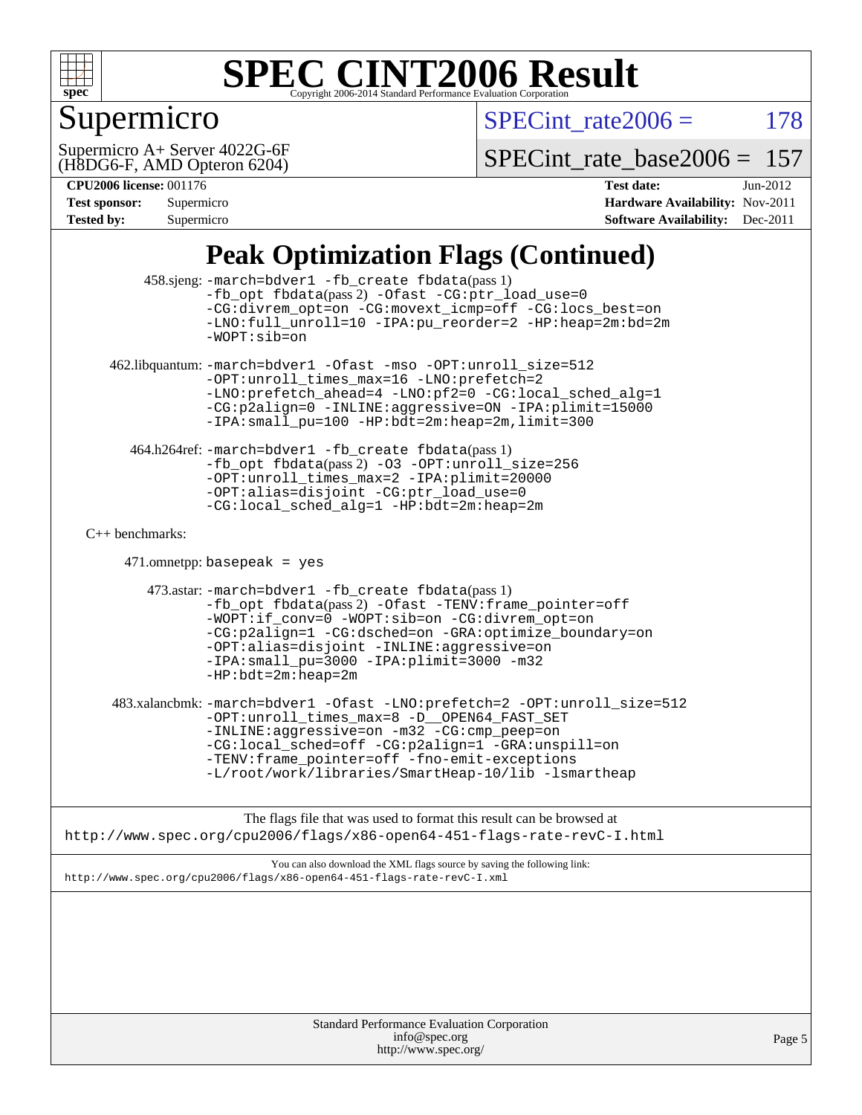

## Supermicro

 $SPECTnt_rate2006 = 178$ 

(H8DG6-F, AMD Opteron 6204) Supermicro A+ Server 4022G-6F

[SPECint\\_rate\\_base2006 =](http://www.spec.org/auto/cpu2006/Docs/result-fields.html#SPECintratebase2006) 157

#### **[CPU2006 license:](http://www.spec.org/auto/cpu2006/Docs/result-fields.html#CPU2006license)** 001176 **[Test date:](http://www.spec.org/auto/cpu2006/Docs/result-fields.html#Testdate)** Jun-2012

| <b>Test sponsor:</b> | Supermicro |
|----------------------|------------|
| <b>Tested by:</b>    | Supermicro |

**[Hardware Availability:](http://www.spec.org/auto/cpu2006/Docs/result-fields.html#HardwareAvailability)** Nov-2011 **[Software Availability:](http://www.spec.org/auto/cpu2006/Docs/result-fields.html#SoftwareAvailability)** Dec-2011

### **[Peak Optimization Flags \(Continued\)](http://www.spec.org/auto/cpu2006/Docs/result-fields.html#PeakOptimizationFlags)**

| Standard Performance Evaluation Corporation<br>info@spec.org<br>http://www.spec.org/                                                                                                                                                                                                                                                       | Page 5 |
|--------------------------------------------------------------------------------------------------------------------------------------------------------------------------------------------------------------------------------------------------------------------------------------------------------------------------------------------|--------|
|                                                                                                                                                                                                                                                                                                                                            |        |
| You can also download the XML flags source by saving the following link:<br>http://www.spec.org/cpu2006/flags/x86-open64-451-flags-rate-revC-I.xml                                                                                                                                                                                         |        |
| The flags file that was used to format this result can be browsed at<br>http://www.spec.org/cpu2006/flags/x86-open64-451-flags-rate-revC-I.html                                                                                                                                                                                            |        |
| 483.xalancbmk: -march=bdver1 -Ofast -LNO:prefetch=2 -OPT:unroll_size=512<br>-OPT:unroll_times_max=8 -D__OPEN64_FAST_SET<br>-INLINE:aggressive=on -m32 -CG:cmp_peep=on<br>-CG:local_sched=off -CG:p2align=1 -GRA:unspill=on<br>-TENV: frame_pointer=off -fno-emit-exceptions<br>-L/root/work/libraries/SmartHeap-10/lib -lsmartheap         |        |
| 473.astar: -march=bdver1 -fb_create fbdata(pass 1)<br>-fb_opt fbdata(pass 2) -Ofast -TENV: frame_pointer=off<br>-WOPT:if_conv=0 -WOPT:sib=on -CG:divrem_opt=on<br>-CG:p2align=1 -CG:dsched=on -GRA:optimize_boundary=on<br>-OPT:alias=disjoint -INLINE:aggressive=on<br>-IPA: small_pu=3000 -IPA: plimit=3000 -m32<br>$-HP:bdt=2m:heap=2m$ |        |
| $471.$ omnetpp: basepeak = yes                                                                                                                                                                                                                                                                                                             |        |
| $C_{++}$ benchmarks:                                                                                                                                                                                                                                                                                                                       |        |
| 464.h264ref: -march=bdver1 -fb_create fbdata(pass 1)<br>-fb_opt fbdata(pass 2) -03 -OPT:unroll_size=256<br>-OPT:unroll_times_max=2 -IPA:plimit=20000<br>-OPT:alias=disjoint -CG:ptr_load_use=0<br>-CG:local_sched_alg=1 -HP:bdt=2m:heap=2m                                                                                                 |        |
| 462.libquantum: -march=bdver1 -Ofast -mso -OPT:unroll_size=512<br>-OPT:unroll_times_max=16 -LNO:prefetch=2<br>-LNO:prefetch_ahead=4 -LNO:pf2=0 -CG:local_sched_alg=1<br>-CG:p2align=0 -INLINE:aggressive=ON -IPA:plimit=15000<br>-IPA: small_pu=100 -HP: bdt=2m: heap=2m, limit=300                                                        |        |
| 458.sjeng: -march=bdver1 -fb_create fbdata(pass 1)<br>-fb_opt fbdata(pass 2) -Ofast -CG:ptr_load_use=0<br>-CG:divrem_opt=on -CG:movext_icmp=off -CG:locs_best=on<br>-LNO:full_unroll=10 -IPA:pu_reorder=2 -HP:heap=2m:bd=2m<br>$-WOPT: sib = on$                                                                                           |        |
|                                                                                                                                                                                                                                                                                                                                            |        |